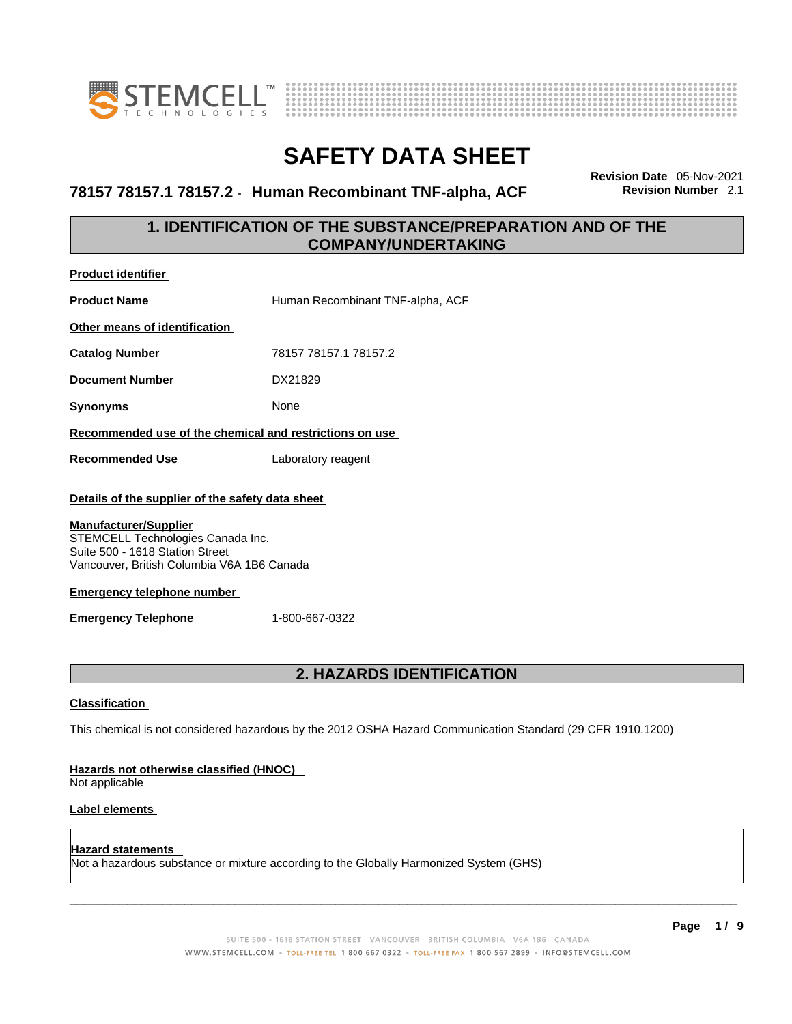



**78157 78157.1 78157.2** - **Human Recombinant TNF-alpha, ACF Revision Number** 2.1

**Revision Date** 05-Nov-2021

## **1. IDENTIFICATION OF THE SUBSTANCE/PREPARATION AND OF THE COMPANY/UNDERTAKING**

| <b>Product identifier</b>                                                                                                                                                                              |                                                         |  |  |
|--------------------------------------------------------------------------------------------------------------------------------------------------------------------------------------------------------|---------------------------------------------------------|--|--|
| <b>Product Name</b>                                                                                                                                                                                    | Human Recombinant TNF-alpha, ACF                        |  |  |
| Other means of identification                                                                                                                                                                          |                                                         |  |  |
| <b>Catalog Number</b>                                                                                                                                                                                  | 78157 78157.1 78157.2                                   |  |  |
| <b>Document Number</b>                                                                                                                                                                                 | DX21829                                                 |  |  |
| <b>Synonyms</b>                                                                                                                                                                                        | None                                                    |  |  |
|                                                                                                                                                                                                        | Recommended use of the chemical and restrictions on use |  |  |
| <b>Recommended Use</b>                                                                                                                                                                                 | Laboratory reagent                                      |  |  |
| Details of the supplier of the safety data sheet<br><b>Manufacturer/Supplier</b><br>STEMCELL Technologies Canada Inc.<br>Suite 500 - 1618 Station Street<br>Vancouver, British Columbia V6A 1B6 Canada |                                                         |  |  |
| <b>Emergency telephone number</b>                                                                                                                                                                      |                                                         |  |  |
| <b>Emergency Telephone</b>                                                                                                                                                                             | 1-800-667-0322                                          |  |  |
|                                                                                                                                                                                                        |                                                         |  |  |
|                                                                                                                                                                                                        | <b>2. HAZARDS IDENTIFICATION</b>                        |  |  |

### **Classification**

This chemical is not considered hazardous by the 2012 OSHA Hazard Communication Standard (29 CFR 1910.1200)

### **Hazards not otherwise classified (HNOC)**

Not applicable

### **Label elements**

**Hazard statements**  Not a hazardous substance or mixture according to the Globally Harmonized System (GHS)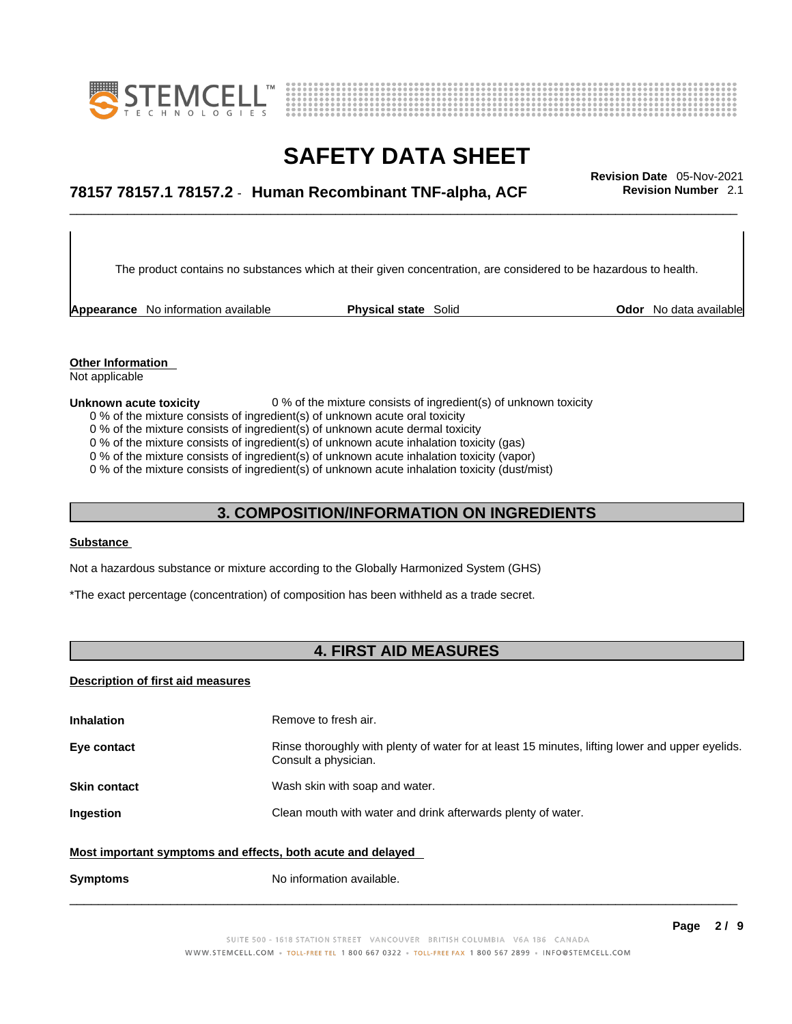



# \_\_\_\_\_\_\_\_\_\_\_\_\_\_\_\_\_\_\_\_\_\_\_\_\_\_\_\_\_\_\_\_\_\_\_\_\_\_\_\_\_\_\_\_\_\_\_\_\_\_\_\_\_\_\_\_\_\_\_\_\_\_\_\_\_\_\_\_\_\_\_\_\_\_\_\_\_\_\_\_\_\_\_\_\_\_\_\_\_\_\_\_\_ **Revision Date** 05-Nov-2021 **78157 78157.1 78157.2** - **Human Recombinant TNF-alpha, ACF Revision Number** 2.1

The product contains no substances which at their given concentration, are considered to be hazardous to health.

**Appearance** No information available **Physical state** Solid **Odor** No data available

**Other Information**  Not applicable

#### **Unknown acute toxicity** 0 % of the mixture consists of ingredient(s) of unknown toxicity

- 0 % of the mixture consists of ingredient(s) of unknown acute oral toxicity
- 0 % of the mixture consists of ingredient(s) of unknown acute dermal toxicity
- 0 % of the mixture consists of ingredient(s) of unknown acute inhalation toxicity (gas)

0 % of the mixture consists of ingredient(s) of unknown acute inhalation toxicity (vapor)

0 % of the mixture consists of ingredient(s) of unknown acute inhalation toxicity (dust/mist)

### **3. COMPOSITION/INFORMATION ON INGREDIENTS**

### **Substance**

Not a hazardous substance or mixture according to the Globally Harmonized System (GHS)

\*The exact percentage (concentration) of composition has been withheld as a trade secret.

### **4. FIRST AID MEASURES**

#### **Description of first aid measures**

| <b>Inhalation</b><br>Remove to fresh air.                   |                                                                                                                         |  |
|-------------------------------------------------------------|-------------------------------------------------------------------------------------------------------------------------|--|
| Eye contact                                                 | Rinse thoroughly with plenty of water for at least 15 minutes, lifting lower and upper eyelids.<br>Consult a physician. |  |
| Wash skin with soap and water.<br><b>Skin contact</b>       |                                                                                                                         |  |
| Ingestion                                                   | Clean mouth with water and drink afterwards plenty of water.                                                            |  |
| Most important symptoms and effects, both acute and delayed |                                                                                                                         |  |
| <b>Symptoms</b>                                             | No information available.                                                                                               |  |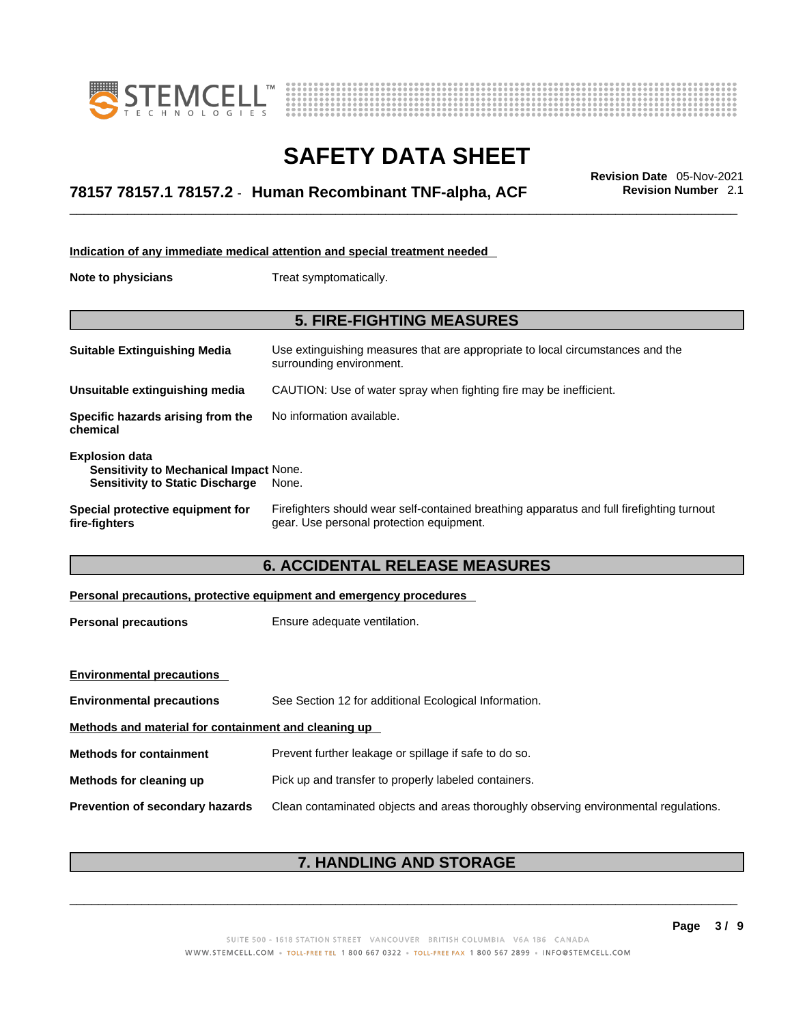



# \_\_\_\_\_\_\_\_\_\_\_\_\_\_\_\_\_\_\_\_\_\_\_\_\_\_\_\_\_\_\_\_\_\_\_\_\_\_\_\_\_\_\_\_\_\_\_\_\_\_\_\_\_\_\_\_\_\_\_\_\_\_\_\_\_\_\_\_\_\_\_\_\_\_\_\_\_\_\_\_\_\_\_\_\_\_\_\_\_\_\_\_\_ **Revision Date** 05-Nov-2021 **78157 78157.1 78157.2** - **Human Recombinant TNF-alpha, ACF Revision Number** 2.1

| Indication of any immediate medical attention and special treatment needed                                |                                                                                                                                       |  |
|-----------------------------------------------------------------------------------------------------------|---------------------------------------------------------------------------------------------------------------------------------------|--|
| <b>Note to physicians</b>                                                                                 | Treat symptomatically.                                                                                                                |  |
|                                                                                                           | <b>5. FIRE-FIGHTING MEASURES</b>                                                                                                      |  |
|                                                                                                           |                                                                                                                                       |  |
| <b>Suitable Extinguishing Media</b>                                                                       | Use extinguishing measures that are appropriate to local circumstances and the<br>surrounding environment.                            |  |
| Unsuitable extinguishing media                                                                            | CAUTION: Use of water spray when fighting fire may be inefficient.                                                                    |  |
| Specific hazards arising from the<br>chemical                                                             | No information available.                                                                                                             |  |
| <b>Explosion data</b><br>Sensitivity to Mechanical Impact None.<br><b>Sensitivity to Static Discharge</b> | None.                                                                                                                                 |  |
| Special protective equipment for<br>fire-fighters                                                         | Firefighters should wear self-contained breathing apparatus and full firefighting turnout<br>gear. Use personal protection equipment. |  |
| <b>6. ACCIDENTAL RELEASE MEASURES</b>                                                                     |                                                                                                                                       |  |
| Personal precautions, protective equipment and emergency procedures                                       |                                                                                                                                       |  |
| <b>Personal precautions</b>                                                                               | Ensure adequate ventilation.                                                                                                          |  |
|                                                                                                           |                                                                                                                                       |  |

| <b>Environmental precautions</b>                     |                                                                                      |  |
|------------------------------------------------------|--------------------------------------------------------------------------------------|--|
| <b>Environmental precautions</b>                     | See Section 12 for additional Ecological Information.                                |  |
| Methods and material for containment and cleaning up |                                                                                      |  |
| <b>Methods for containment</b>                       | Prevent further leakage or spillage if safe to do so.                                |  |
| Methods for cleaning up                              | Pick up and transfer to properly labeled containers.                                 |  |
| <b>Prevention of secondary hazards</b>               | Clean contaminated objects and areas thoroughly observing environmental regulations. |  |

# **7. HANDLING AND STORAGE**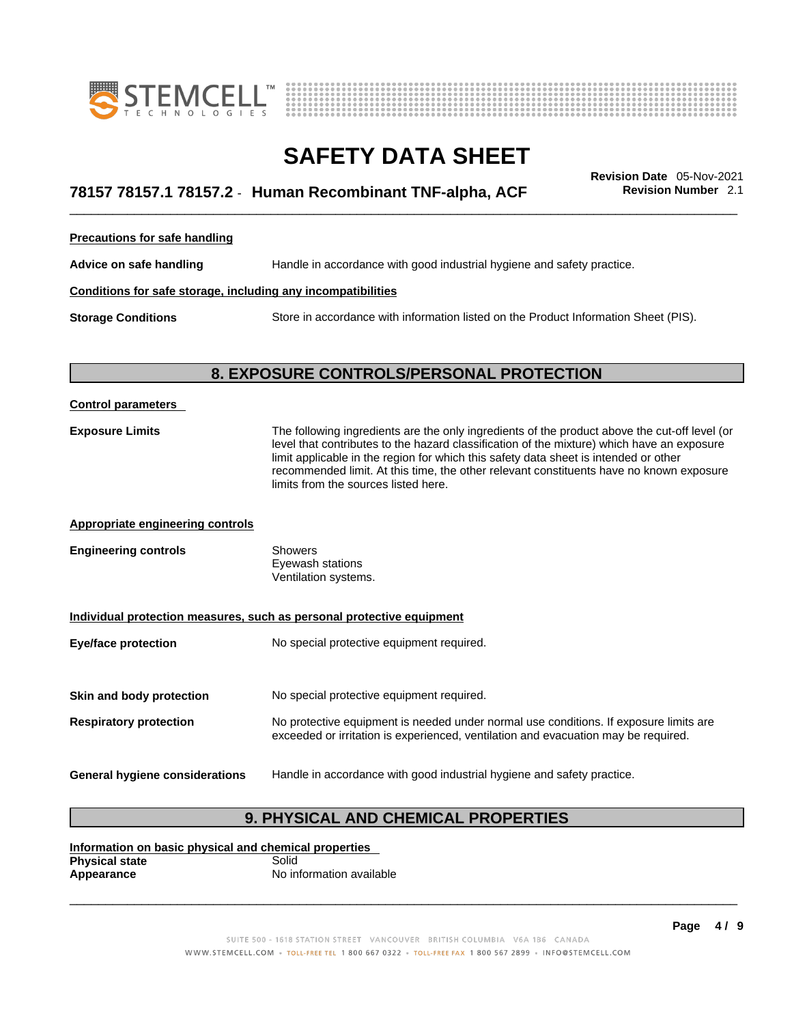



# \_\_\_\_\_\_\_\_\_\_\_\_\_\_\_\_\_\_\_\_\_\_\_\_\_\_\_\_\_\_\_\_\_\_\_\_\_\_\_\_\_\_\_\_\_\_\_\_\_\_\_\_\_\_\_\_\_\_\_\_\_\_\_\_\_\_\_\_\_\_\_\_\_\_\_\_\_\_\_\_\_\_\_\_\_\_\_\_\_\_\_\_\_ **Revision Date** 05-Nov-2021 **78157 78157.1 78157.2** - **Human Recombinant TNF-alpha, ACF Revision Number** 2.1

**Precautions for safe handling**

**Advice on safe handling** Handle in accordance with good industrial hygiene and safety practice.

### **Conditions for safe storage, including any incompatibilities**

**Storage Conditions** Store in accordance with information listed on the Product Information Sheet (PIS).

### **8. EXPOSURE CONTROLS/PERSONAL PROTECTION**

| <b>Control parameters</b>                                             |                                                                                                                                                                                                                                                                                                                                                                                                                        |  |  |
|-----------------------------------------------------------------------|------------------------------------------------------------------------------------------------------------------------------------------------------------------------------------------------------------------------------------------------------------------------------------------------------------------------------------------------------------------------------------------------------------------------|--|--|
| <b>Exposure Limits</b>                                                | The following ingredients are the only ingredients of the product above the cut-off level (or<br>level that contributes to the hazard classification of the mixture) which have an exposure<br>limit applicable in the region for which this safety data sheet is intended or other<br>recommended limit. At this time, the other relevant constituents have no known exposure<br>limits from the sources listed here. |  |  |
| <b>Appropriate engineering controls</b>                               |                                                                                                                                                                                                                                                                                                                                                                                                                        |  |  |
| <b>Engineering controls</b>                                           | Showers<br>Eyewash stations<br>Ventilation systems.                                                                                                                                                                                                                                                                                                                                                                    |  |  |
| Individual protection measures, such as personal protective equipment |                                                                                                                                                                                                                                                                                                                                                                                                                        |  |  |
| <b>Eye/face protection</b>                                            | No special protective equipment required.                                                                                                                                                                                                                                                                                                                                                                              |  |  |
| Skin and body protection                                              | No special protective equipment required.                                                                                                                                                                                                                                                                                                                                                                              |  |  |
| <b>Respiratory protection</b>                                         | No protective equipment is needed under normal use conditions. If exposure limits are<br>exceeded or irritation is experienced, ventilation and evacuation may be required.                                                                                                                                                                                                                                            |  |  |
| <b>General hygiene considerations</b>                                 | Handle in accordance with good industrial hygiene and safety practice.                                                                                                                                                                                                                                                                                                                                                 |  |  |

### **9. PHYSICAL AND CHEMICAL PROPERTIES**

**Information on basic physical and chemical properties Physical state**<br>Appearance **Appearance** No information available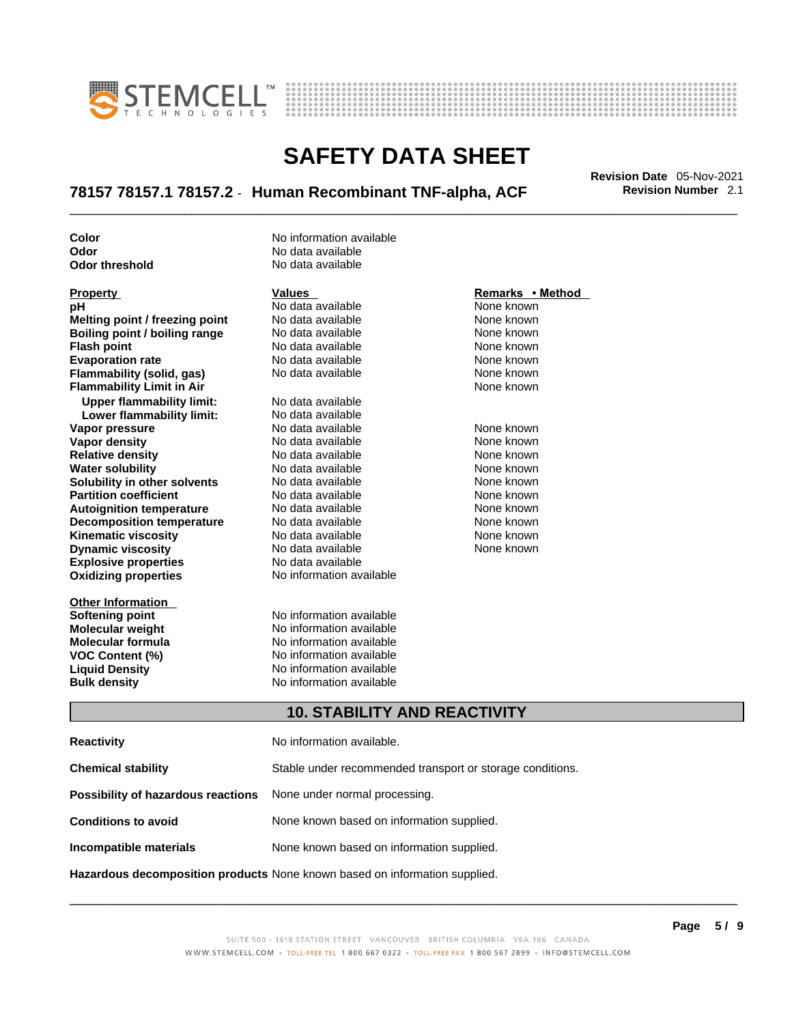



# \_\_\_\_\_\_\_\_\_\_\_\_\_\_\_\_\_\_\_\_\_\_\_\_\_\_\_\_\_\_\_\_\_\_\_\_\_\_\_\_\_\_\_\_\_\_\_\_\_\_\_\_\_\_\_\_\_\_\_\_\_\_\_\_\_\_\_\_\_\_\_\_\_\_\_\_\_\_\_\_\_\_\_\_\_\_\_\_\_\_\_\_\_ **Revision Date** 05-Nov-2021 **78157 78157.1 78157.2** - **Human Recombinant TNF-alpha, ACF Revision Number** 2.1

**Odor No data available**<br> **Odor threshold No data available Odor** threshold

**Explosive properties** No data available<br> **Oxidizing properties** No information available **pH** No data available None known **Melting point / freezing point** No data available None known<br> **Boiling point / boiling range** No data available None known **Boiling point / boiling range** No data available None known<br> **Flash noint** None known<br>
No data available None Known **Flash point**<br> **Flash point**<br> **Fvanoration rate** None Known<br>
No data available None Known<br>
None known **Evaporation rate Flammability (solid, gas)** No data available None Known None known **Flammability Limit in Air None known None known Upper flammability limit:** No data available **Lower flammability limit:** No data available **Vapor pressure** The Society No data available and the None known<br> **Vapor density** No data available None known **Vapor density** No data available None known **Relative density 1988 Control and Social Article Relative density None known<br>
<b>Water solubility** No data available None known **Water solubility Solubility in other solvents** No data available None known **Partition coefficient No data available None known Autoignition temperature** No data available None known<br> **Decomposition temperature** No data available None known **Decomposition temperature** No data available **None known**<br>
No data available **None known**<br>
None known **Kinematic viscosity** No data available<br> **Dynamic viscosity** No data available **Dynamic viscosity No data available None known** 

**Other Information Softening point**<br> **Molecular weight**<br> **Molecular weight**<br> **Molecular weight**<br> **Molecular weight** 

**Color Color Color No** information available

**No information available** 

**Molecular weight Molecular is a structure of the No information available Molecular formula Molecular System Molecular formula** No information available **VOC Content (%)** No information available **Liquid Density** No information available **Bulk density No information available** 

### **Property Remarks •** Method **Values Remarks** •**Method**

### **10. STABILITY AND REACTIVITY**

| <b>Reactivity</b>                                                                 | No information available.                                 |
|-----------------------------------------------------------------------------------|-----------------------------------------------------------|
| <b>Chemical stability</b>                                                         | Stable under recommended transport or storage conditions. |
| <b>Possibility of hazardous reactions</b> None under normal processing.           |                                                           |
| <b>Conditions to avoid</b>                                                        | None known based on information supplied.                 |
| Incompatible materials                                                            | None known based on information supplied.                 |
| <b>Hazardous decomposition products</b> None known based on information supplied. |                                                           |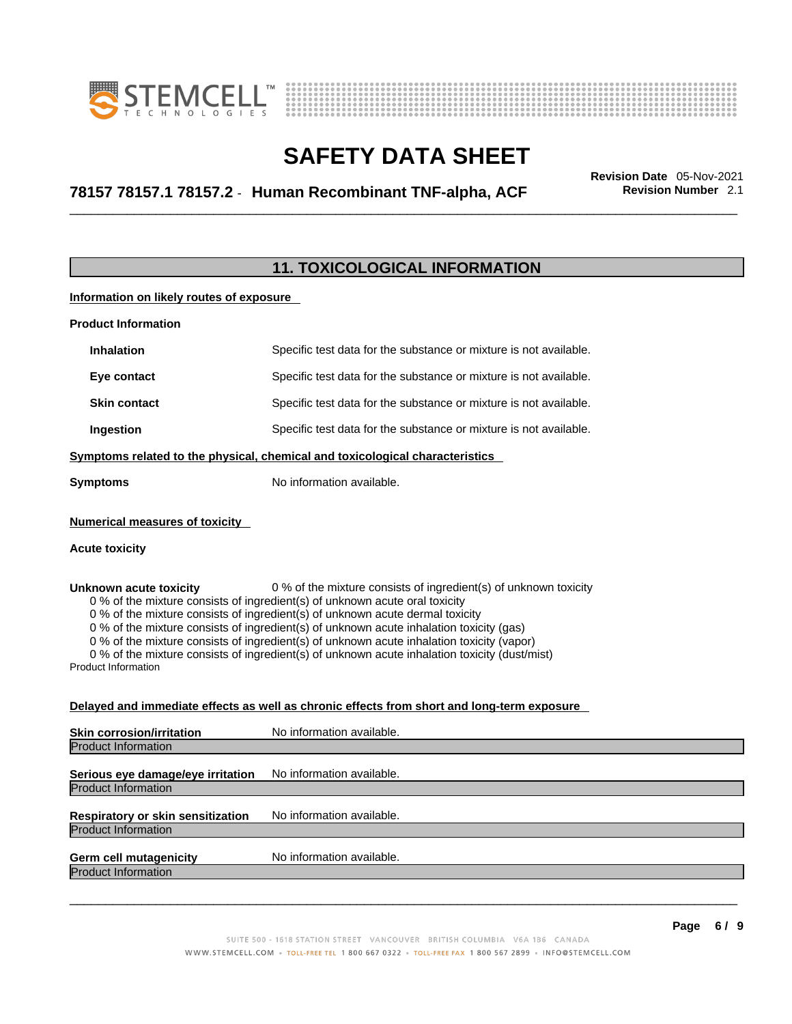



# \_\_\_\_\_\_\_\_\_\_\_\_\_\_\_\_\_\_\_\_\_\_\_\_\_\_\_\_\_\_\_\_\_\_\_\_\_\_\_\_\_\_\_\_\_\_\_\_\_\_\_\_\_\_\_\_\_\_\_\_\_\_\_\_\_\_\_\_\_\_\_\_\_\_\_\_\_\_\_\_\_\_\_\_\_\_\_\_\_\_\_\_\_ **Revision Date** 05-Nov-2021 **78157 78157.1 78157.2** - **Human Recombinant TNF-alpha, ACF Revision Number** 2.1

### **11. TOXICOLOGICAL INFORMATION**

**Information on likely routes of exposure**

| <b>Product Information</b> |                     |                                                                   |
|----------------------------|---------------------|-------------------------------------------------------------------|
|                            | <b>Inhalation</b>   | Specific test data for the substance or mixture is not available. |
|                            | Eye contact         | Specific test data for the substance or mixture is not available. |
|                            | <b>Skin contact</b> | Specific test data for the substance or mixture is not available. |
|                            | Ingestion           | Specific test data for the substance or mixture is not available. |
|                            |                     | .                                                                 |

**Symptoms related to the physical,chemical and toxicological characteristics**

**Symptoms** No information available.

### **Numerical measures of toxicity**

### **Acute toxicity**

**Unknown acute toxicity** 0 % of the mixture consists of ingredient(s) of unknown toxicity

0 % of the mixture consists of ingredient(s) of unknown acute oral toxicity

0 % of the mixture consists of ingredient(s) of unknown acute dermal toxicity

0 % of the mixture consists of ingredient(s) of unknown acute inhalation toxicity (gas)

0 % of the mixture consists of ingredient(s) of unknown acute inhalation toxicity (vapor)

0 % of the mixture consists of ingredient(s) of unknown acute inhalation toxicity (dust/mist)

Product Information

### **Delayed and immediate effects as well as chronic effects from short and long-term exposure**

| <b>Skin corrosion/irritation</b>                                       | No information available. |
|------------------------------------------------------------------------|---------------------------|
| <b>Product Information</b>                                             |                           |
| Serious eye damage/eye irritation                                      | No information available. |
| <b>Product Information</b>                                             |                           |
| <b>Respiratory or skin sensitization</b><br><b>Product Information</b> | No information available. |
|                                                                        |                           |
| <b>Germ cell mutagenicity</b><br><b>Product Information</b>            | No information available. |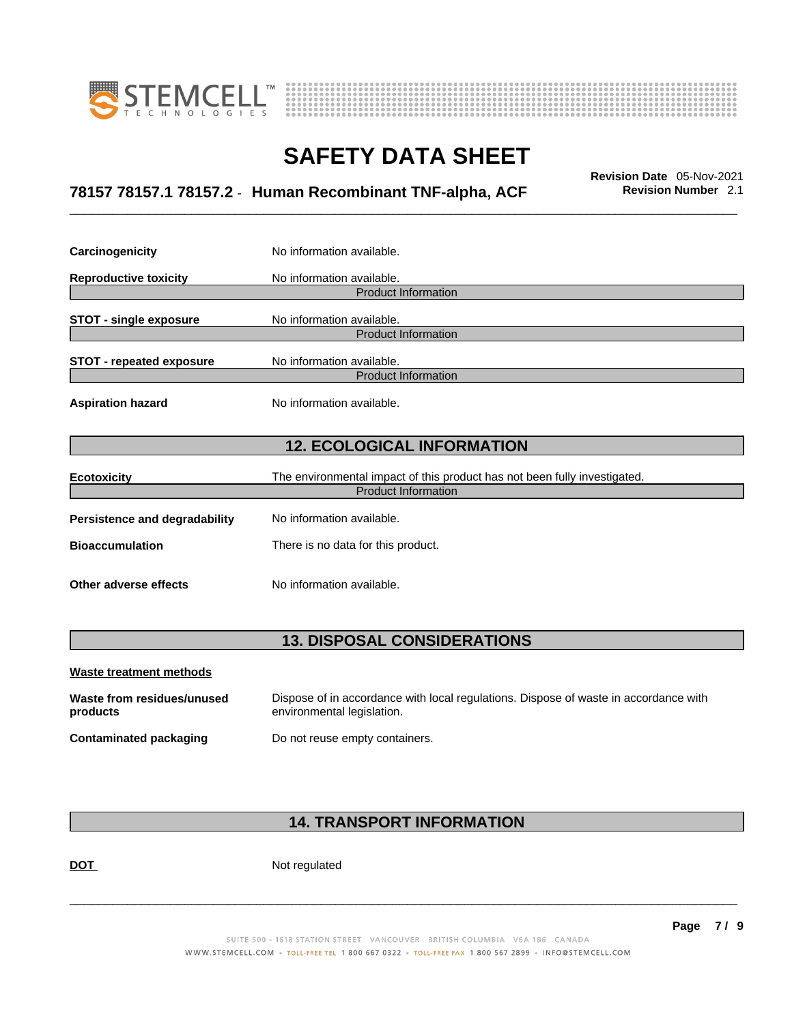



# \_\_\_\_\_\_\_\_\_\_\_\_\_\_\_\_\_\_\_\_\_\_\_\_\_\_\_\_\_\_\_\_\_\_\_\_\_\_\_\_\_\_\_\_\_\_\_\_\_\_\_\_\_\_\_\_\_\_\_\_\_\_\_\_\_\_\_\_\_\_\_\_\_\_\_\_\_\_\_\_\_\_\_\_\_\_\_\_\_\_\_\_\_ **Revision Date** 05-Nov-2021 **78157 78157.1 78157.2** - **Human Recombinant TNF-alpha, ACF Revision Number** 2.1

| Carcinogenicity                 | No information available.                                                 |  |  |  |
|---------------------------------|---------------------------------------------------------------------------|--|--|--|
| <b>Reproductive toxicity</b>    | No information available.                                                 |  |  |  |
|                                 | <b>Product Information</b>                                                |  |  |  |
| <b>STOT - single exposure</b>   | No information available.                                                 |  |  |  |
|                                 | <b>Product Information</b>                                                |  |  |  |
| <b>STOT - repeated exposure</b> | No information available.                                                 |  |  |  |
|                                 | <b>Product Information</b>                                                |  |  |  |
| <b>Aspiration hazard</b>        | No information available.                                                 |  |  |  |
|                                 | <b>12. ECOLOGICAL INFORMATION</b>                                         |  |  |  |
| <b>Ecotoxicity</b>              | The environmental impact of this product has not been fully investigated. |  |  |  |
| <b>Product Information</b>      |                                                                           |  |  |  |
| Persistence and degradability   | No information available.                                                 |  |  |  |
| <b>Bioaccumulation</b>          | There is no data for this product.                                        |  |  |  |
| Other adverse effects           | No information available.                                                 |  |  |  |

# **13. DISPOSAL CONSIDERATIONS**

| Waste treatment methods                |                                                                                                                    |
|----------------------------------------|--------------------------------------------------------------------------------------------------------------------|
| Waste from residues/unused<br>products | Dispose of in accordance with local regulations. Dispose of waste in accordance with<br>environmental legislation. |
| Contaminated packaging                 | Do not reuse empty containers.                                                                                     |

# **14. TRANSPORT INFORMATION**

DOT Not regulated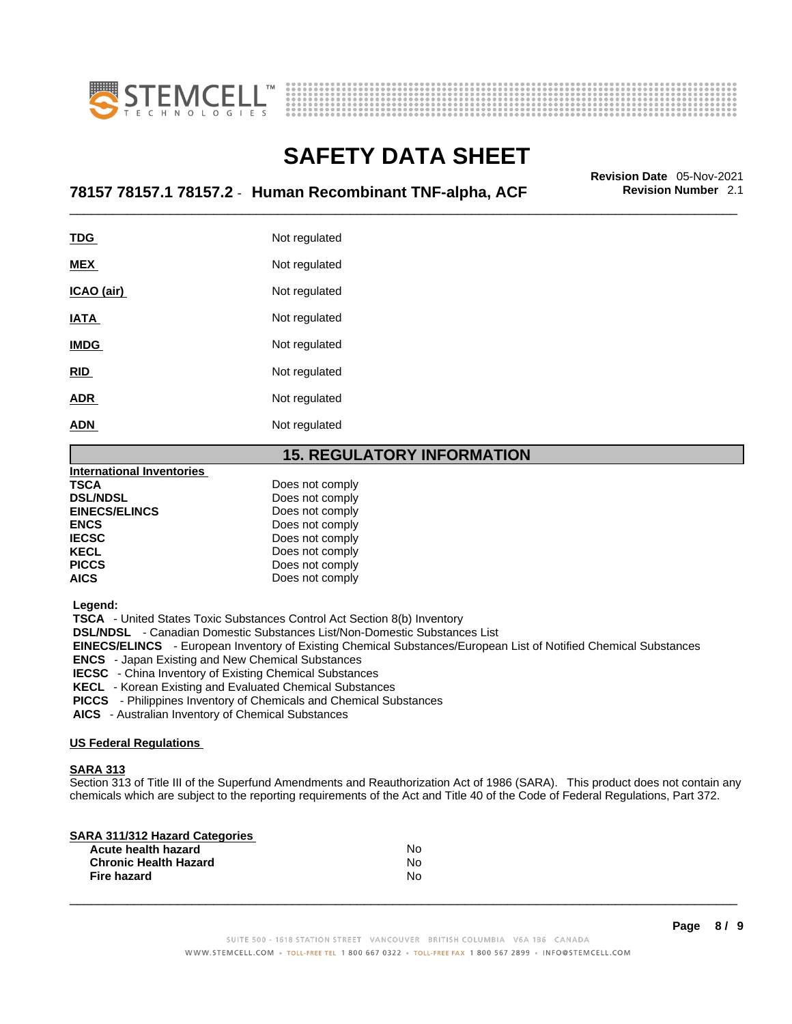



# \_\_\_\_\_\_\_\_\_\_\_\_\_\_\_\_\_\_\_\_\_\_\_\_\_\_\_\_\_\_\_\_\_\_\_\_\_\_\_\_\_\_\_\_\_\_\_\_\_\_\_\_\_\_\_\_\_\_\_\_\_\_\_\_\_\_\_\_\_\_\_\_\_\_\_\_\_\_\_\_\_\_\_\_\_\_\_\_\_\_\_\_\_ **Revision Date** 05-Nov-2021 **78157 78157.1 78157.2** - **Human Recombinant TNF-alpha, ACF Revision Number** 2.1

| <u>TDG</u>  | Not regulated |
|-------------|---------------|
| <b>MEX</b>  | Not regulated |
| ICAO (air)  | Not regulated |
| IATA        | Not regulated |
| <b>IMDG</b> | Not regulated |
| <b>RID</b>  | Not regulated |
| <b>ADR</b>  | Not regulated |
| <b>ADN</b>  | Not regulated |
|             |               |

### **15. REGULATORY INFORMATION**

| <b>International Inventories</b> |                 |  |
|----------------------------------|-----------------|--|
| TSCA                             | Does not comply |  |
| <b>DSL/NDSL</b>                  | Does not comply |  |
| <b>EINECS/ELINCS</b>             | Does not comply |  |
| <b>ENCS</b>                      | Does not comply |  |
| <b>IECSC</b>                     | Does not comply |  |
| <b>KECL</b>                      | Does not comply |  |
| <b>PICCS</b>                     | Does not comply |  |
| AICS                             | Does not comply |  |

 **Legend:** 

 **TSCA** - United States Toxic Substances Control Act Section 8(b) Inventory

 **DSL/NDSL** - Canadian Domestic Substances List/Non-Domestic Substances List

 **EINECS/ELINCS** - European Inventory of Existing Chemical Substances/European List of Notified Chemical Substances

 **ENCS** - Japan Existing and New Chemical Substances

 **IECSC** - China Inventory of Existing Chemical Substances

 **KECL** - Korean Existing and Evaluated Chemical Substances

 **PICCS** - Philippines Inventory of Chemicals and Chemical Substances

 **AICS** - Australian Inventory of Chemical Substances

### **US Federal Regulations**

### **SARA 313**

Section 313 of Title III of the Superfund Amendments and Reauthorization Act of 1986 (SARA). This product does not contain any chemicals which are subject to the reporting requirements of the Act and Title 40 of the Code of Federal Regulations, Part 372.

| N٥ |  |
|----|--|
| N٥ |  |
| Nο |  |
|    |  |